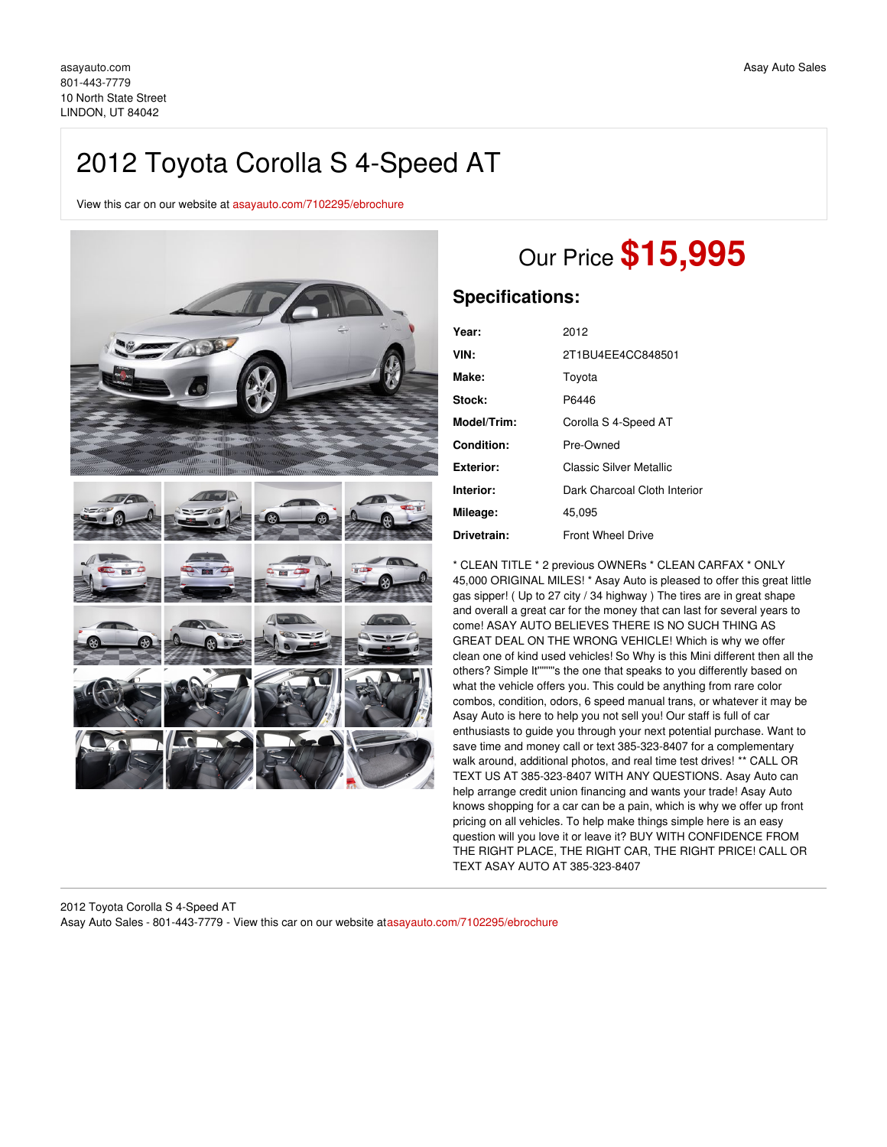## 2012 Toyota Corolla S 4-Speed AT

View this car on our website at [asayauto.com/7102295/ebrochure](https://asayauto.com/vehicle/7102295/2012-toyota-corolla-s-4-speed-at-lindon-ut-84042/7102295/ebrochure)



## Our Price **\$15,995**

## **Specifications:**

| Year:       | 2012                         |
|-------------|------------------------------|
| VIN:        | 2T1BU4EE4CC848501            |
| Make:       | Tovota                       |
| Stock:      | P6446                        |
| Model/Trim: | Corolla S 4-Speed AT         |
| Condition:  | Pre-Owned                    |
| Exterior:   | Classic Silver Metallic      |
| Interior:   | Dark Charcoal Cloth Interior |
| Mileage:    | 45.095                       |
| Drivetrain: | <b>Front Wheel Drive</b>     |

\* CLEAN TITLE \* 2 previous OWNERs \* CLEAN CARFAX \* ONLY 45,000 ORIGINAL MILES! \* Asay Auto is pleased to offer this great little gas sipper! ( Up to 27 city / 34 highway ) The tires are in great shape and overall a great car for the money that can last for several years to come! ASAY AUTO BELIEVES THERE IS NO SUCH THING AS GREAT DEAL ON THE WRONG VEHICLE! Which is why we offer clean one of kind used vehicles! So Why is this Mini different then all the others? Simple It''''''''s the one that speaks to you differently based on what the vehicle offers you. This could be anything from rare color combos, condition, odors, 6 speed manual trans, or whatever it may be Asay Auto is here to help you not sell you! Our staff is full of car enthusiasts to guide you through your next potential purchase. Want to save time and money call or text 385-323-8407 for a complementary walk around, additional photos, and real time test drives! \*\* CALL OR TEXT US AT 385-323-8407 WITH ANY QUESTIONS. Asay Auto can help arrange credit union financing and wants your trade! Asay Auto knows shopping for a car can be a pain, which is why we offer up front pricing on all vehicles. To help make things simple here is an easy question will you love it or leave it? BUY WITH CONFIDENCE FROM THE RIGHT PLACE, THE RIGHT CAR, THE RIGHT PRICE! CALL OR TEXT ASAY AUTO AT 385-323-8407

2012 Toyota Corolla S 4-Speed AT Asay Auto Sales - 801-443-7779 - View this car on our website at[asayauto.com/7102295/ebrochure](https://asayauto.com/vehicle/7102295/2012-toyota-corolla-s-4-speed-at-lindon-ut-84042/7102295/ebrochure)